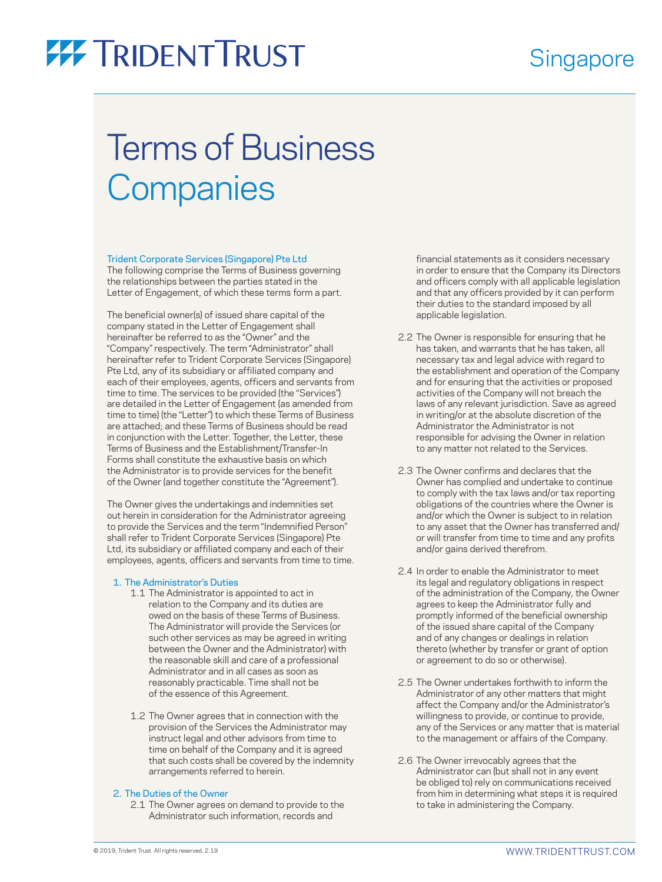### **Singapore**

# **77 TRIDENT TRUST**

## Terms of Business **Companies**

#### Trident Corporate Services (Singapore) Pte Ltd

The following comprise the Terms of Business governing the relationships between the parties stated in the Letter of Engagement, of which these terms form a part.

The beneficial owner(s) of issued share capital of the company stated in the Letter of Engagement shall hereinafter be referred to as the "Owner" and the "Company" respectively. The term "Administrator" shall hereinafter refer to Trident Corporate Services (Singapore) Pte Ltd, any of its subsidiary or affiliated company and each of their employees, agents, officers and servants from time to time. The services to be provided (the "Services") are detailed in the Letter of Engagement (as amended from time to time) (the "Letter") to which these Terms of Business are attached; and these Terms of Business should be read in conjunction with the Letter. Together, the Letter, these Terms of Business and the Establishment/Transfer-In Forms shall constitute the exhaustive basis on which the Administrator is to provide services for the benefit of the Owner (and together constitute the "Agreement").

The Owner gives the undertakings and indemnities set out herein in consideration for the Administrator agreeing to provide the Services and the term "Indemnified Person" shall refer to Trident Corporate Services (Singapore) Pte Ltd, its subsidiary or affiliated company and each of their employees, agents, officers and servants from time to time.

#### 1. The Administrator's Duties

- 1.1 The Administrator is appointed to act in relation to the Company and its duties are owed on the basis of these Terms of Business. The Administrator will provide the Services (or such other services as may be agreed in writing between the Owner and the Administrator) with the reasonable skill and care of a professional Administrator and in all cases as soon as reasonably practicable. Time shall not be of the essence of this Agreement.
- 1.2 The Owner agrees that in connection with the provision of the Services the Administrator may instruct legal and other advisors from time to time on behalf of the Company and it is agreed that such costs shall be covered by the indemnity arrangements referred to herein.

### 2. The Duties of the Owner

 2.1 The Owner agrees on demand to provide to the Administrator such information, records and

financial statements as it considers necessary in order to ensure that the Company its Directors and officers comply with all applicable legislation and that any officers provided by it can perform their duties to the standard imposed by all applicable legislation.

- 2.2 The Owner is responsible for ensuring that he has taken, and warrants that he has taken, all necessary tax and legal advice with regard to the establishment and operation of the Company and for ensuring that the activities or proposed activities of the Company will not breach the laws of any relevant jurisdiction. Save as agreed in writing/or at the absolute discretion of the Administrator the Administrator is not responsible for advising the Owner in relation to any matter not related to the Services.
- 2.3 The Owner confirms and declares that the Owner has complied and undertake to continue to comply with the tax laws and/or tax reporting obligations of the countries where the Owner is and/or which the Owner is subject to in relation to any asset that the Owner has transferred and/ or will transfer from time to time and any profits and/or gains derived therefrom.
- 2.4 In order to enable the Administrator to meet its legal and regulatory obligations in respect of the administration of the Company, the Owner agrees to keep the Administrator fully and promptly informed of the beneficial ownership of the issued share capital of the Company and of any changes or dealings in relation thereto (whether by transfer or grant of option or agreement to do so or otherwise).
- 2.5 The Owner undertakes forthwith to inform the Administrator of any other matters that might affect the Company and/or the Administrator's willingness to provide, or continue to provide, any of the Services or any matter that is material to the management or affairs of the Company.
- 2.6 The Owner irrevocably agrees that the Administrator can (but shall not in any event be obliged to) rely on communications received from him in determining what steps it is required to take in administering the Company.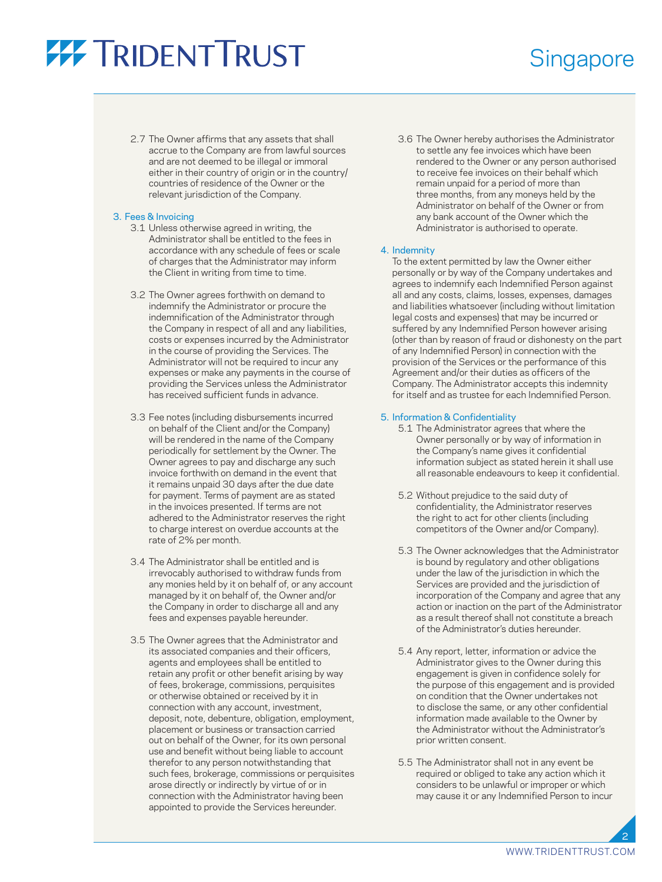## **77 TRIDENT TRUST**

### **Singapore**

 2.7 The Owner affirms that any assets that shall accrue to the Company are from lawful sources and are not deemed to be illegal or immoral either in their country of origin or in the country/ countries of residence of the Owner or the relevant jurisdiction of the Company.

### 3. Fees & Invoicing

- 3.1 Unless otherwise agreed in writing, the Administrator shall be entitled to the fees in accordance with any schedule of fees or scale of charges that the Administrator may inform the Client in writing from time to time.
- 3.2 The Owner agrees forthwith on demand to indemnify the Administrator or procure the indemnification of the Administrator through the Company in respect of all and any liabilities, costs or expenses incurred by the Administrator in the course of providing the Services. The Administrator will not be required to incur any expenses or make any payments in the course of providing the Services unless the Administrator has received sufficient funds in advance.
- 3.3 Fee notes (including disbursements incurred on behalf of the Client and/or the Company) will be rendered in the name of the Company periodically for settlement by the Owner. The Owner agrees to pay and discharge any such invoice forthwith on demand in the event that it remains unpaid 30 days after the due date for payment. Terms of payment are as stated in the invoices presented. If terms are not adhered to the Administrator reserves the right to charge interest on overdue accounts at the rate of 2% per month.
- 3.4 The Administrator shall be entitled and is irrevocably authorised to withdraw funds from any monies held by it on behalf of, or any account managed by it on behalf of, the Owner and/or the Company in order to discharge all and any fees and expenses payable hereunder.
- 3.5 The Owner agrees that the Administrator and its associated companies and their officers, agents and employees shall be entitled to retain any profit or other benefit arising by way of fees, brokerage, commissions, perquisites or otherwise obtained or received by it in connection with any account, investment, deposit, note, debenture, obligation, employment, placement or business or transaction carried out on behalf of the Owner, for its own personal use and benefit without being liable to account therefor to any person notwithstanding that such fees, brokerage, commissions or perquisites arose directly or indirectly by virtue of or in connection with the Administrator having been appointed to provide the Services hereunder.

 3.6 The Owner hereby authorises the Administrator to settle any fee invoices which have been rendered to the Owner or any person authorised to receive fee invoices on their behalf which remain unpaid for a period of more than three months, from any moneys held by the Administrator on behalf of the Owner or from any bank account of the Owner which the Administrator is authorised to operate.

### 4. Indemnity

 To the extent permitted by law the Owner either personally or by way of the Company undertakes and agrees to indemnify each Indemnified Person against all and any costs, claims, losses, expenses, damages and liabilities whatsoever (including without limitation legal costs and expenses) that may be incurred or suffered by any Indemnified Person however arising (other than by reason of fraud or dishonesty on the part of any Indemnified Person) in connection with the provision of the Services or the performance of this Agreement and/or their duties as officers of the Company. The Administrator accepts this indemnity for itself and as trustee for each Indemnified Person.

### 5. Information & Confidentiality

- 5.1 The Administrator agrees that where the Owner personally or by way of information in the Company's name gives it confidential information subject as stated herein it shall use all reasonable endeavours to keep it confidential.
- 5.2 Without prejudice to the said duty of confidentiality, the Administrator reserves the right to act for other clients (including competitors of the Owner and/or Company).
- 5.3 The Owner acknowledges that the Administrator is bound by regulatory and other obligations under the law of the jurisdiction in which the Services are provided and the jurisdiction of incorporation of the Company and agree that any action or inaction on the part of the Administrator as a result thereof shall not constitute a breach of the Administrator's duties hereunder.
- 5.4 Any report, letter, information or advice the Administrator gives to the Owner during this engagement is given in confidence solely for the purpose of this engagement and is provided on condition that the Owner undertakes not to disclose the same, or any other confidential information made available to the Owner by the Administrator without the Administrator's prior written consent.
- 5.5 The Administrator shall not in any event be required or obliged to take any action which it considers to be unlawful or improper or which may cause it or any Indemnified Person to incur

2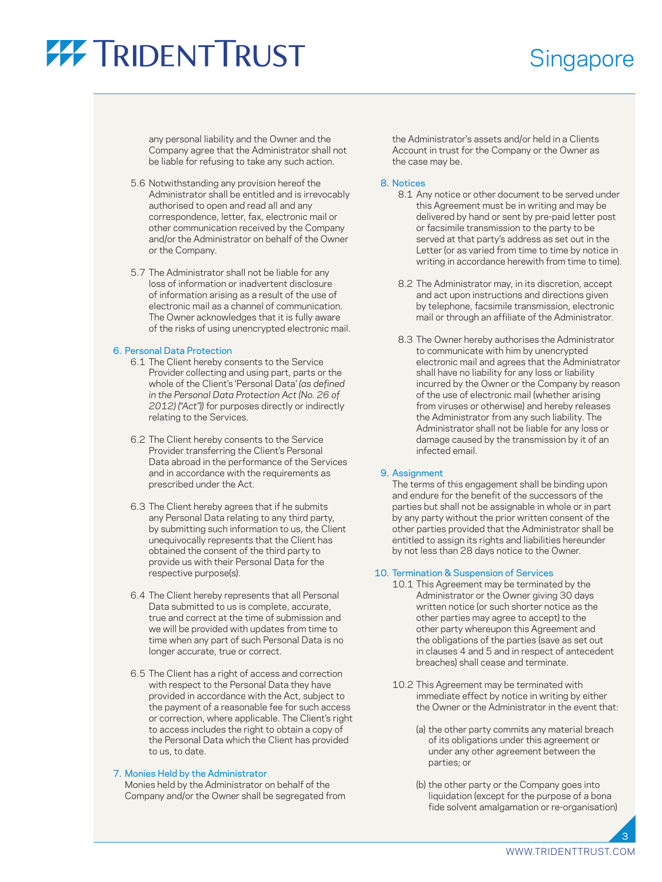## **77 TRIDENT TRUST**

### **Singapore**

any personal liability and the Owner and the Company agree that the Administrator shall not be liable for refusing to take any such action.

- 5.6 Notwithstanding any provision hereof the Administrator shall be entitled and is irrevocably authorised to open and read all and any correspondence, letter, fax, electronic mail or other communication received by the Company and/or the Administrator on behalf of the Owner or the Company.
- 5.7 The Administrator shall not be liable for any loss of information or inadvertent disclosure of information arising as a result of the use of electronic mail as a channel of communication. The Owner acknowledges that it is fully aware of the risks of using unencrypted electronic mail.

### 6. Personal Data Protection

- 6.1 The Client hereby consents to the Service Provider collecting and using part, parts or the whole of the Client's 'Personal Data' *(as defined in the Personal Data Protection Act (No. 26 of 2012) ("Act"))* for purposes directly or indirectly relating to the Services.
- 6.2 The Client hereby consents to the Service Provider transferring the Client's Personal Data abroad in the performance of the Services and in accordance with the requirements as prescribed under the Act.
- 6.3 The Client hereby agrees that if he submits any Personal Data relating to any third party, by submitting such information to us, the Client unequivocally represents that the Client has obtained the consent of the third party to provide us with their Personal Data for the respective purpose(s).
- 6.4 The Client hereby represents that all Personal Data submitted to us is complete, accurate, true and correct at the time of submission and we will be provided with updates from time to time when any part of such Personal Data is no longer accurate, true or correct.
- 6.5 The Client has a right of access and correction with respect to the Personal Data they have provided in accordance with the Act, subject to the payment of a reasonable fee for such access or correction, where applicable. The Client's right to access includes the right to obtain a copy of the Personal Data which the Client has provided to us, to date.

### 7. Monies Held by the Administrator

 Monies held by the Administrator on behalf of the Company and/or the Owner shall be segregated from the Administrator's assets and/or held in a Clients Account in trust for the Company or the Owner as the case may be.

### 8. Notices

- 8.1 Any notice or other document to be served under this Agreement must be in writing and may be delivered by hand or sent by pre-paid letter post or facsimile transmission to the party to be served at that party's address as set out in the Letter (or as varied from time to time by notice in writing in accordance herewith from time to time).
- 8.2 The Administrator may, in its discretion, accept and act upon instructions and directions given by telephone, facsimile transmission, electronic mail or through an affiliate of the Administrator.
- 8.3 The Owner hereby authorises the Administrator to communicate with him by unencrypted electronic mail and agrees that the Administrator shall have no liability for any loss or liability incurred by the Owner or the Company by reason of the use of electronic mail (whether arising from viruses or otherwise) and hereby releases the Administrator from any such liability. The Administrator shall not be liable for any loss or damage caused by the transmission by it of an infected email.

#### 9. Assignment

 The terms of this engagement shall be binding upon and endure for the benefit of the successors of the parties but shall not be assignable in whole or in part by any party without the prior written consent of the other parties provided that the Administrator shall be entitled to assign its rights and liabilities hereunder by not less than 28 days notice to the Owner.

### 10. Termination & Suspension of Services

- 10.1 This Agreement may be terminated by the Administrator or the Owner giving 30 days written notice (or such shorter notice as the other parties may agree to accept) to the other party whereupon this Agreement and the obligations of the parties (save as set out in clauses 4 and 5 and in respect of antecedent breaches) shall cease and terminate.
- 10.2 This Agreement may be terminated with immediate effect by notice in writing by either the Owner or the Administrator in the event that:
	- (a) the other party commits any material breach of its obligations under this agreement or under any other agreement between the parties; or
	- (b) the other party or the Company goes into liquidation (except for the purpose of a bona fide solvent amalgamation or re-organisation)

3